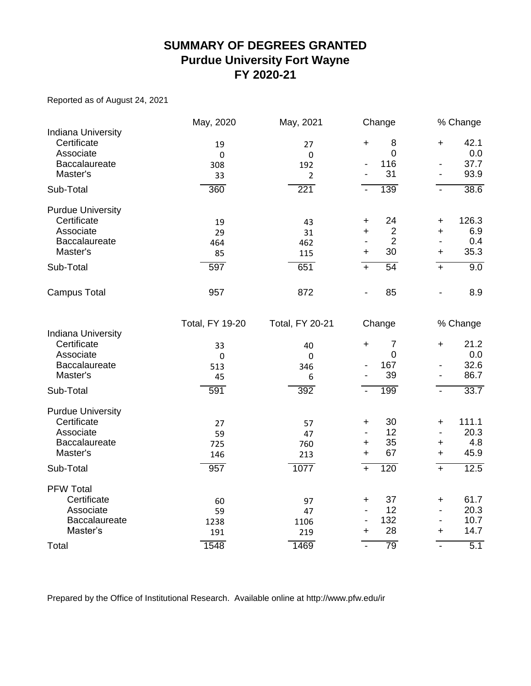#### **SUMMARY OF DEGREES GRANTED Purdue University Fort Wayne FY 2020-21**

Reported as of August 24, 2021

|                                                       | May, 2020              | May, 2021              | Change                             |                              | % Change    |
|-------------------------------------------------------|------------------------|------------------------|------------------------------------|------------------------------|-------------|
| <b>Indiana University</b><br>Certificate<br>Associate | 19<br>$\pmb{0}$        | 27<br>$\pmb{0}$        | 8<br>$\ddot{}$<br>$\mathbf 0$      | $\ddot{}$                    | 42.1<br>0.0 |
| Baccalaureate                                         | 308                    | 192                    | 116                                | $\qquad \qquad \blacksquare$ | 37.7        |
| Master's                                              | 33                     | $\overline{2}$         | 31                                 | $\overline{\phantom{a}}$     | 93.9        |
| Sub-Total                                             | 360                    | 221                    | 139<br>$\blacksquare$              | $\blacksquare$               | 38.6        |
| <b>Purdue University</b>                              |                        |                        |                                    |                              |             |
| Certificate                                           | 19                     | 43                     | 24<br>+                            | +                            | 126.3       |
| Associate                                             | 29                     | 31                     | $\overline{2}$<br>$\ddot{}$        | $\ddot{}$                    | 6.9         |
| Baccalaureate                                         | 464                    | 462                    | $\overline{2}$                     | $\blacksquare$               | 0.4         |
| Master's                                              | 85                     | 115                    | 30<br>$\ddot{}$                    | +                            | 35.3        |
| Sub-Total                                             | 597                    | 651                    | 54<br>$\overline{+}$               | $+$                          | 9.0         |
| <b>Campus Total</b>                                   | 957                    | 872                    | 85<br>$\qquad \qquad \blacksquare$ | $\overline{\phantom{a}}$     | 8.9         |
|                                                       | <b>Total, FY 19-20</b> | <b>Total, FY 20-21</b> | Change                             |                              | % Change    |
| <b>Indiana University</b>                             |                        |                        |                                    |                              |             |
| Certificate                                           | 33                     | 40                     | 7<br>$\ddot{}$                     | $\ddag$                      | 21.2        |
| Associate<br>Baccalaureate                            | $\mathbf 0$            | 0                      | $\mathbf 0$<br>167                 | $\overline{\phantom{a}}$     | 0.0<br>32.6 |
| Master's                                              | 513<br>45              | 346<br>6               | 39                                 | $\overline{\phantom{a}}$     | 86.7        |
|                                                       |                        |                        |                                    |                              |             |
| Sub-Total                                             | 591                    | 392                    | 199                                | $\blacksquare$               | 33.7        |
| <b>Purdue University</b>                              |                        |                        |                                    |                              |             |
| Certificate                                           | 27                     | 57                     | 30<br>$\ddot{}$                    | $\ddot{}$                    | 111.1       |
| Associate                                             | 59                     | 47                     | 12<br>$\qquad \qquad \blacksquare$ | $\overline{\phantom{a}}$     | 20.3        |
| Baccalaureate                                         | 725                    | 760                    | 35<br>+                            | $\ddag$                      | 4.8         |
| Master's                                              | 146                    | 213                    | 67<br>$\ddot{}$                    | $\ddot{}$                    | 45.9        |
| Sub-Total                                             | 957                    | 1077                   | 120<br>$+$                         | $\overline{+}$               | 12.5        |
| <b>PFW Total</b>                                      |                        |                        |                                    |                              |             |
| Certificate                                           | 60                     | 97                     | 37<br>+                            | $\ddag$                      | 61.7        |
| Associate                                             | 59                     | 47                     | 12                                 | $\frac{1}{2}$                | 20.3        |
| Baccalaureate                                         | 1238                   | 1106                   | 132                                | $\overline{\phantom{a}}$     | 10.7        |
| Master's                                              | 191                    | 219                    | 28<br>$\ddot{}$                    | +                            | 14.7        |
| Total                                                 | 1548                   | 1469                   | 79<br>$\overline{\phantom{a}}$     | $\blacksquare$               | 5.1         |

Prepared by the Office of Institutional Research. Available online at http://www.pfw.edu/ir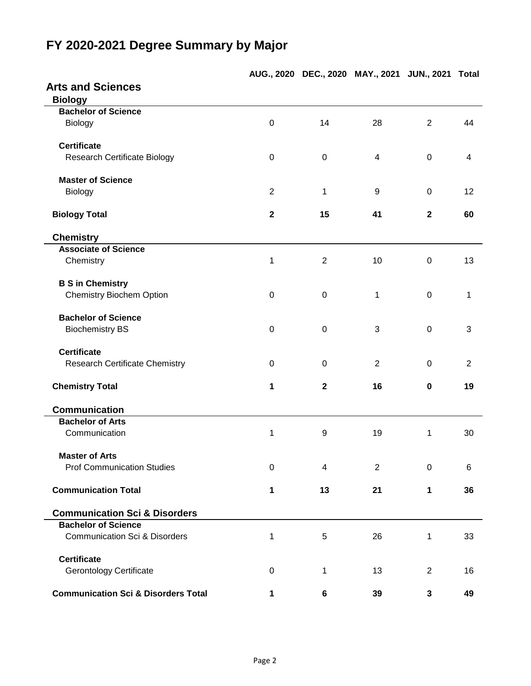|                                                |                  | AUG., 2020 DEC., 2020 MAY., 2021 JUN., 2021 Total |                |                |                |
|------------------------------------------------|------------------|---------------------------------------------------|----------------|----------------|----------------|
| <b>Arts and Sciences</b>                       |                  |                                                   |                |                |                |
| <b>Biology</b>                                 |                  |                                                   |                |                |                |
| <b>Bachelor of Science</b>                     |                  |                                                   |                |                |                |
| Biology                                        | $\mathbf 0$      | 14                                                | 28             | $\overline{2}$ | 44             |
| <b>Certificate</b>                             |                  |                                                   |                |                |                |
| <b>Research Certificate Biology</b>            | 0                | 0                                                 | $\overline{4}$ | $\mathbf 0$    | 4              |
| <b>Master of Science</b>                       |                  |                                                   |                |                |                |
| Biology                                        | 2                | 1                                                 | 9              | $\mathbf 0$    | 12             |
| <b>Biology Total</b>                           | $\mathbf{2}$     | 15                                                | 41             | $\mathbf{2}$   | 60             |
| <b>Chemistry</b>                               |                  |                                                   |                |                |                |
| <b>Associate of Science</b>                    |                  |                                                   |                |                |                |
| Chemistry                                      | 1                | $\overline{2}$                                    | 10             | 0              | 13             |
| <b>B S in Chemistry</b>                        |                  |                                                   |                |                |                |
| <b>Chemistry Biochem Option</b>                | $\boldsymbol{0}$ | $\mathbf 0$                                       | 1              | $\mathbf 0$    | 1              |
| <b>Bachelor of Science</b>                     |                  |                                                   |                |                |                |
| <b>Biochemistry BS</b>                         | $\overline{0}$   | 0                                                 | 3              | $\mathbf 0$    | 3              |
| <b>Certificate</b>                             |                  |                                                   |                |                |                |
| <b>Research Certificate Chemistry</b>          | 0                | 0                                                 | 2              | 0              | $\overline{2}$ |
| <b>Chemistry Total</b>                         | 1                | $\mathbf{2}$                                      | 16             | $\mathbf 0$    | 19             |
| <b>Communication</b>                           |                  |                                                   |                |                |                |
| <b>Bachelor of Arts</b>                        |                  |                                                   |                |                |                |
| Communication                                  | 1                | 9                                                 | 19             | 1              | 30             |
| <b>Master of Arts</b>                          |                  |                                                   |                |                |                |
| <b>Prof Communication Studies</b>              | $\mathbf 0$      | 4                                                 | 2              | $\pmb{0}$      | 6              |
| <b>Communication Total</b>                     | 1                | 13                                                | 21             | 1              | 36             |
| <b>Communication Sci &amp; Disorders</b>       |                  |                                                   |                |                |                |
| <b>Bachelor of Science</b>                     |                  |                                                   |                |                |                |
| <b>Communication Sci &amp; Disorders</b>       | 1                | 5                                                 | 26             | 1              | 33             |
| <b>Certificate</b>                             |                  |                                                   |                |                |                |
| <b>Gerontology Certificate</b>                 | $\pmb{0}$        | 1                                                 | 13             | $\overline{2}$ | 16             |
| <b>Communication Sci &amp; Disorders Total</b> | 1                | 6                                                 | 39             | 3              | 49             |

# **FY 2020-2021 Degree Summary by Major**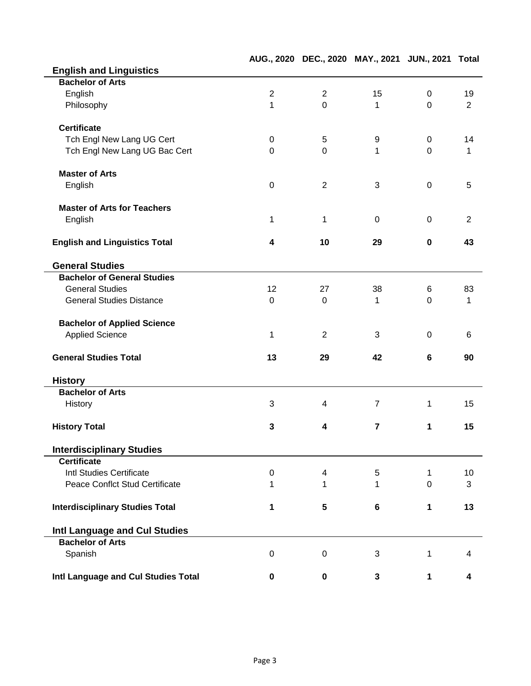|                                        |                  |                          | AUG., 2020 DEC., 2020 MAY., 2021 JUN., 2021 Total |                |                |
|----------------------------------------|------------------|--------------------------|---------------------------------------------------|----------------|----------------|
| <b>English and Linguistics</b>         |                  |                          |                                                   |                |                |
| <b>Bachelor of Arts</b>                |                  |                          |                                                   |                |                |
| English                                | $\overline{2}$   | $\overline{2}$           | 15                                                | $\mathbf 0$    | 19             |
| Philosophy                             | $\mathbf{1}$     | $\overline{0}$           | 1                                                 | $\overline{0}$ | $\overline{2}$ |
| <b>Certificate</b>                     |                  |                          |                                                   |                |                |
| Tch Engl New Lang UG Cert              | $\mathbf 0$      | $\mathbf 5$              | 9                                                 | $\mathbf 0$    | 14             |
| Tch Engl New Lang UG Bac Cert          | $\mathbf 0$      | $\overline{0}$           | 1                                                 | $\overline{0}$ | 1              |
| <b>Master of Arts</b>                  |                  |                          |                                                   |                |                |
| English                                | $\mathbf 0$      | $\overline{2}$           | 3                                                 | $\mathbf 0$    | 5              |
| <b>Master of Arts for Teachers</b>     |                  |                          |                                                   |                |                |
| English                                | 1                | 1                        | 0                                                 | $\mathbf 0$    | $\overline{2}$ |
| <b>English and Linguistics Total</b>   | 4                | 10                       | 29                                                | $\mathbf 0$    | 43             |
| <b>General Studies</b>                 |                  |                          |                                                   |                |                |
| <b>Bachelor of General Studies</b>     |                  |                          |                                                   |                |                |
| <b>General Studies</b>                 | 12               | 27                       | 38                                                | 6              | 83             |
| <b>General Studies Distance</b>        | 0                | $\mathbf 0$              | 1                                                 | $\overline{0}$ | 1              |
| <b>Bachelor of Applied Science</b>     |                  |                          |                                                   |                |                |
| <b>Applied Science</b>                 | 1                | $\overline{2}$           | 3                                                 | 0              | 6              |
| <b>General Studies Total</b>           | 13               | 29                       | 42                                                | 6              | 90             |
| <b>History</b>                         |                  |                          |                                                   |                |                |
| <b>Bachelor of Arts</b>                |                  |                          |                                                   |                |                |
| History                                | 3                | 4                        | $\overline{7}$                                    | 1              | 15             |
| <b>History Total</b>                   | 3                | 4                        | 7                                                 | 1              | 15             |
| <b>Interdisciplinary Studies</b>       |                  |                          |                                                   |                |                |
| <b>Certificate</b>                     |                  |                          |                                                   |                |                |
| Intl Studies Certificate               | $\boldsymbol{0}$ | $\overline{\mathcal{A}}$ | 5                                                 | $\mathbf{1}$   | 10             |
| <b>Peace Conflct Stud Certificate</b>  | 1                | 1                        | 1                                                 | $\overline{0}$ | 3              |
| <b>Interdisciplinary Studies Total</b> | 1                | 5                        | 6                                                 | 1              | 13             |
| Intl Language and Cul Studies          |                  |                          |                                                   |                |                |
| <b>Bachelor of Arts</b>                |                  |                          |                                                   |                |                |
| Spanish                                | $\boldsymbol{0}$ | 0                        | 3                                                 | 1              | 4              |
| Intl Language and Cul Studies Total    | $\mathbf 0$      | $\pmb{0}$                | 3                                                 | $\mathbf{1}$   | 4              |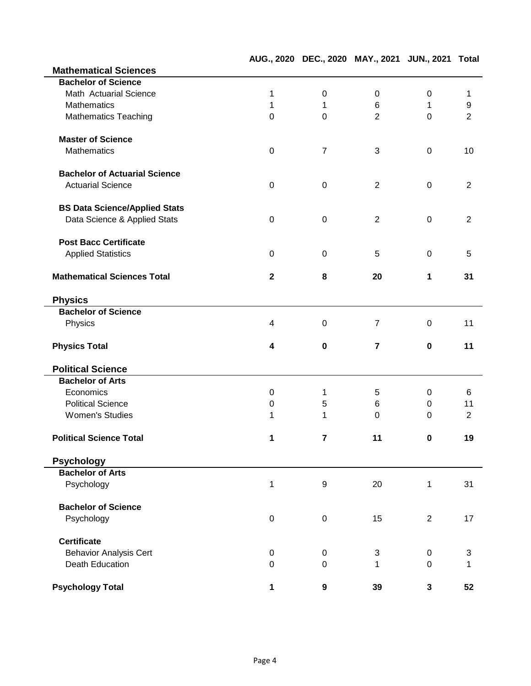|                                      |                  | AUG., 2020 DEC., 2020 MAY., 2021 JUN., 2021 Total |                |                |                |
|--------------------------------------|------------------|---------------------------------------------------|----------------|----------------|----------------|
| <b>Mathematical Sciences</b>         |                  |                                                   |                |                |                |
| <b>Bachelor of Science</b>           |                  |                                                   |                |                |                |
| Math Actuarial Science               | 1                | $\pmb{0}$                                         | 0              | $\pmb{0}$      | 1              |
| <b>Mathematics</b>                   | 1                | 1                                                 | 6              | 1              | 9              |
| <b>Mathematics Teaching</b>          | $\mathbf 0$      | $\mathbf 0$                                       | $\overline{2}$ | $\Omega$       | $\overline{2}$ |
| <b>Master of Science</b>             |                  |                                                   |                |                |                |
| <b>Mathematics</b>                   | $\pmb{0}$        | $\overline{7}$                                    | 3              | $\mathbf 0$    | 10             |
| <b>Bachelor of Actuarial Science</b> |                  |                                                   |                |                |                |
| <b>Actuarial Science</b>             | $\mathbf 0$      | $\pmb{0}$                                         | $\overline{2}$ | $\mathbf 0$    | 2              |
| <b>BS Data Science/Applied Stats</b> |                  |                                                   |                |                |                |
| Data Science & Applied Stats         | $\mathbf 0$      | $\boldsymbol{0}$                                  | $\overline{2}$ | $\mathbf 0$    | $\overline{2}$ |
| <b>Post Bacc Certificate</b>         |                  |                                                   |                |                |                |
| <b>Applied Statistics</b>            | $\pmb{0}$        | $\pmb{0}$                                         | 5              | $\pmb{0}$      | 5              |
| <b>Mathematical Sciences Total</b>   | $\mathbf{2}$     | 8                                                 | 20             | 1              | 31             |
| <b>Physics</b>                       |                  |                                                   |                |                |                |
| <b>Bachelor of Science</b>           |                  |                                                   |                |                |                |
| Physics                              | 4                | $\boldsymbol{0}$                                  | $\overline{7}$ | 0              | 11             |
| <b>Physics Total</b>                 | 4                | $\pmb{0}$                                         | $\overline{7}$ | 0              | 11             |
| <b>Political Science</b>             |                  |                                                   |                |                |                |
| <b>Bachelor of Arts</b>              |                  |                                                   |                |                |                |
| Economics                            | 0                | 1                                                 | 5              | 0              | 6              |
| <b>Political Science</b>             | $\boldsymbol{0}$ | 5                                                 | 6              | 0              | 11             |
| <b>Women's Studies</b>               | 1                | 1                                                 | $\mathbf 0$    | 0              | $\overline{2}$ |
| <b>Political Science Total</b>       | 1                | 7                                                 | 11             | $\pmb{0}$      | 19             |
| <b>Psychology</b>                    |                  |                                                   |                |                |                |
| <b>Bachelor of Arts</b>              |                  |                                                   |                |                |                |
| Psychology                           | $\mathbf 1$      | $\boldsymbol{9}$                                  | 20             | 1              | 31             |
| <b>Bachelor of Science</b>           |                  |                                                   |                |                |                |
| Psychology                           | $\pmb{0}$        | $\mathbf 0$                                       | 15             | $\overline{2}$ | 17             |
| <b>Certificate</b>                   |                  |                                                   |                |                |                |
| <b>Behavior Analysis Cert</b>        | 0                | 0                                                 | 3              | $\mathsf 0$    | 3              |
| Death Education                      | $\mathbf 0$      | $\pmb{0}$                                         | 1              | 0              | 1              |
| <b>Psychology Total</b>              | 1                | $\boldsymbol{9}$                                  | 39             | $\mathbf{3}$   | 52             |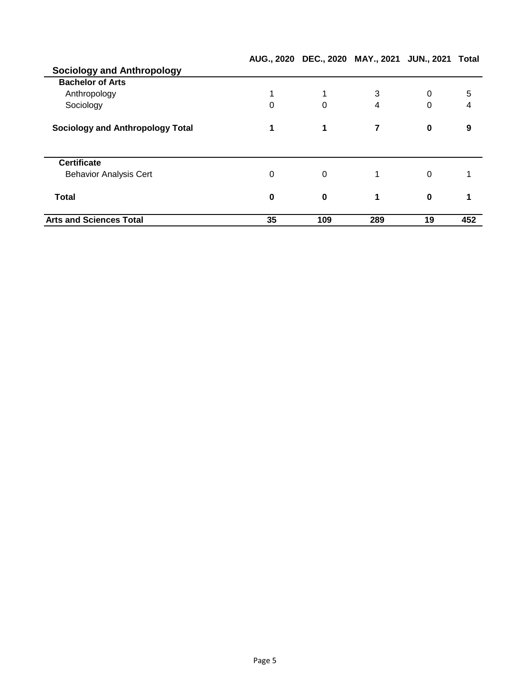|                                         |    |             | AUG., 2020 DEC., 2020 MAY., 2021 JUN., 2021 Total |             |     |
|-----------------------------------------|----|-------------|---------------------------------------------------|-------------|-----|
| <b>Sociology and Anthropology</b>       |    |             |                                                   |             |     |
| <b>Bachelor of Arts</b>                 |    |             |                                                   |             |     |
| Anthropology                            |    | 1           | 3                                                 | $\Omega$    | 5   |
| Sociology                               | 0  | 0           | 4                                                 | $\Omega$    | 4   |
| <b>Sociology and Anthropology Total</b> | 1  | 1           | 7                                                 | $\mathbf 0$ | 9   |
| <b>Certificate</b>                      |    |             |                                                   |             |     |
| <b>Behavior Analysis Cert</b>           | 0  | $\Omega$    |                                                   | $\Omega$    |     |
| <b>Total</b>                            | 0  | $\mathbf 0$ | 1                                                 | $\bf{0}$    |     |
| <b>Arts and Sciences Total</b>          | 35 | 109         | 289                                               | 19          | 452 |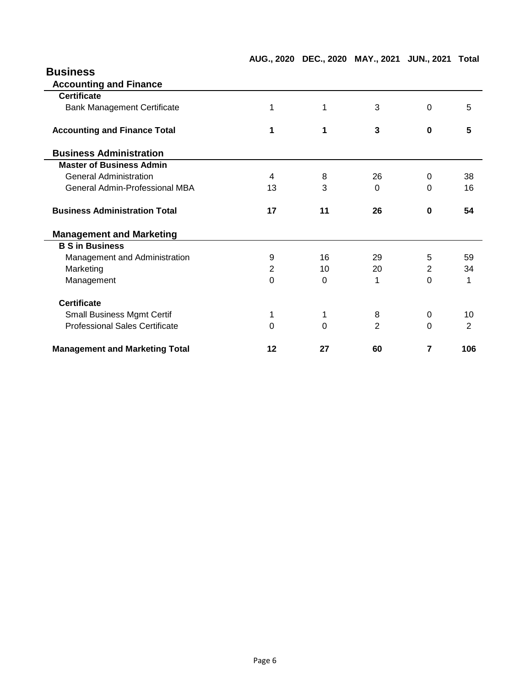| AUG., 2020 DEC., 2020 MAY., 2021 JUN., 2021 Total |  |  |  |  |
|---------------------------------------------------|--|--|--|--|
|---------------------------------------------------|--|--|--|--|

| <b>Business</b>                       |    |          |          |                |     |
|---------------------------------------|----|----------|----------|----------------|-----|
| <b>Accounting and Finance</b>         |    |          |          |                |     |
| <b>Certificate</b>                    |    |          |          |                |     |
| <b>Bank Management Certificate</b>    | 1  | 1        | 3        | $\mathbf 0$    | 5   |
| <b>Accounting and Finance Total</b>   | 1  | 1        | 3        | $\bf{0}$       | 5   |
| <b>Business Administration</b>        |    |          |          |                |     |
| <b>Master of Business Admin</b>       |    |          |          |                |     |
| <b>General Administration</b>         | 4  | 8        | 26       | $\Omega$       | 38  |
| <b>General Admin-Professional MBA</b> | 13 | 3        | $\Omega$ | $\Omega$       | 16  |
| <b>Business Administration Total</b>  | 17 | 11       | 26       | $\mathbf 0$    | 54  |
| <b>Management and Marketing</b>       |    |          |          |                |     |
| <b>B S in Business</b>                |    |          |          |                |     |
| Management and Administration         | 9  | 16       | 29       | 5              | 59  |
| Marketing                             | 2  | 10       | 20       | $\overline{2}$ | 34  |
| Management                            | 0  | $\Omega$ | 1        | $\Omega$       | 1   |
| <b>Certificate</b>                    |    |          |          |                |     |
| <b>Small Business Mgmt Certif</b>     | 1  | 1        | 8        | 0              | 10  |
| <b>Professional Sales Certificate</b> | 0  | 0        | 2        | $\Omega$       | 2   |
| <b>Management and Marketing Total</b> | 12 | 27       | 60       | 7              | 106 |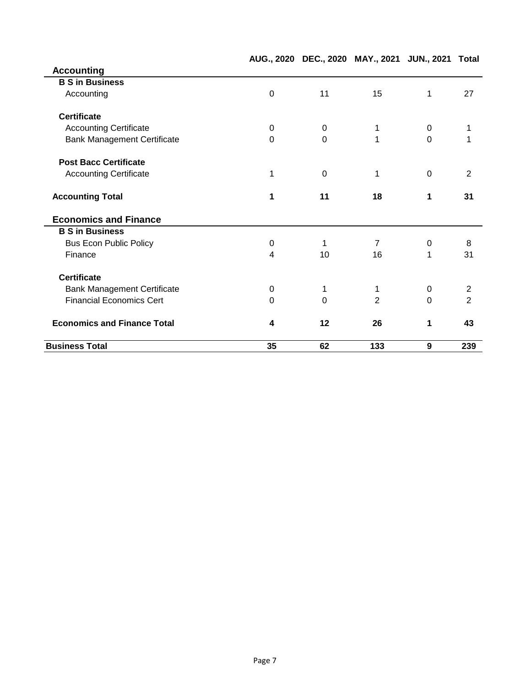|                                    |          | AUG., 2020 DEC., 2020 MAY., 2021 JUN., 2021 Total |                |                |                |
|------------------------------------|----------|---------------------------------------------------|----------------|----------------|----------------|
| <b>Accounting</b>                  |          |                                                   |                |                |                |
| <b>B S in Business</b>             |          |                                                   |                |                |                |
| Accounting                         | 0        | 11                                                | 15             | 1              | 27             |
| <b>Certificate</b>                 |          |                                                   |                |                |                |
| <b>Accounting Certificate</b>      | $\Omega$ | $\Omega$                                          | 1              | 0              |                |
| <b>Bank Management Certificate</b> | 0        | $\Omega$                                          | 1              | $\overline{0}$ |                |
| <b>Post Bacc Certificate</b>       |          |                                                   |                |                |                |
| <b>Accounting Certificate</b>      | 1        | $\Omega$                                          | 1              | $\mathbf 0$    | $\overline{2}$ |
| <b>Accounting Total</b>            | 1        | 11                                                | 18             | 1              | 31             |
| <b>Economics and Finance</b>       |          |                                                   |                |                |                |
| <b>B S in Business</b>             |          |                                                   |                |                |                |
| <b>Bus Econ Public Policy</b>      | 0        | 1                                                 | $\overline{7}$ | 0              | 8              |
| Finance                            | 4        | 10                                                | 16             | 1              | 31             |
| <b>Certificate</b>                 |          |                                                   |                |                |                |
| <b>Bank Management Certificate</b> | 0        | 1                                                 | 1              | 0              | $\overline{c}$ |
| <b>Financial Economics Cert</b>    | $\Omega$ | $\Omega$                                          | $\overline{2}$ | $\Omega$       | $\overline{2}$ |
| <b>Economics and Finance Total</b> | 4        | 12                                                | 26             | 1              | 43             |
| <b>Business Total</b>              | 35       | 62                                                | 133            | 9              | 239            |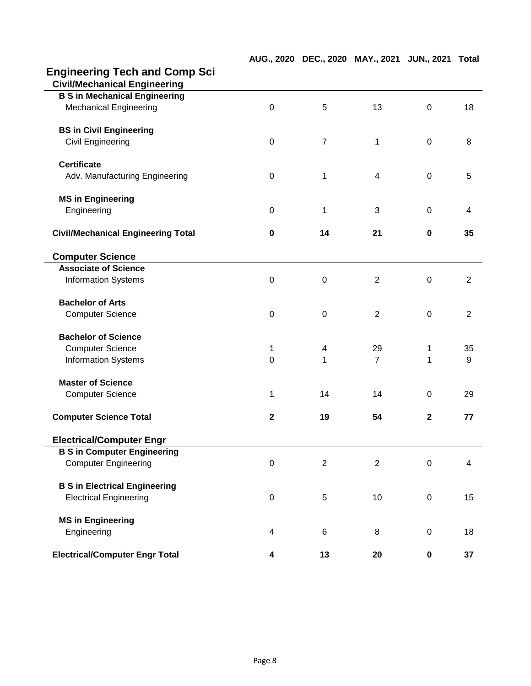# **Engineering Tech and Comp Sci**

| <b>Civil/Mechanical Engineering</b>       |                  |                |                |              |                |
|-------------------------------------------|------------------|----------------|----------------|--------------|----------------|
| <b>B S in Mechanical Engineering</b>      |                  |                |                |              |                |
| <b>Mechanical Engineering</b>             | $\mathbf 0$      | 5              | 13             | $\mathbf 0$  | 18             |
| <b>BS in Civil Engineering</b>            |                  |                |                |              |                |
| Civil Engineering                         | $\pmb{0}$        | $\overline{7}$ | 1              | $\mathbf 0$  | 8              |
| <b>Certificate</b>                        |                  |                |                |              |                |
| Adv. Manufacturing Engineering            | $\mathbf 0$      | 1              | 4              | $\mathbf 0$  | 5              |
| <b>MS in Engineering</b>                  |                  |                |                |              |                |
| Engineering                               | 0                | 1              | 3              | $\mathbf 0$  | 4              |
| <b>Civil/Mechanical Engineering Total</b> | $\bf{0}$         | 14             | 21             | 0            | 35             |
| <b>Computer Science</b>                   |                  |                |                |              |                |
| <b>Associate of Science</b>               |                  |                |                |              |                |
| <b>Information Systems</b>                | $\boldsymbol{0}$ | $\mathbf 0$    | $\overline{2}$ | $\mathbf 0$  | $\overline{2}$ |
| <b>Bachelor of Arts</b>                   |                  |                |                |              |                |
| <b>Computer Science</b>                   | $\mathbf 0$      | $\mathbf 0$    | $\overline{2}$ | $\mathbf 0$  | $\overline{2}$ |
| <b>Bachelor of Science</b>                |                  |                |                |              |                |
| <b>Computer Science</b>                   | 1                | 4              | 29             | 1            | 35             |
| <b>Information Systems</b>                | $\mathbf 0$      | 1              | $\overline{7}$ | 1            | 9              |
| <b>Master of Science</b>                  |                  |                |                |              |                |
| <b>Computer Science</b>                   | 1                | 14             | 14             | 0            | 29             |
| <b>Computer Science Total</b>             | $\mathbf 2$      | 19             | 54             | $\mathbf{2}$ | 77             |
| <b>Electrical/Computer Engr</b>           |                  |                |                |              |                |
| <b>B S in Computer Engineering</b>        |                  |                |                |              |                |
| <b>Computer Engineering</b>               | $\boldsymbol{0}$ | $\mathbf{2}$   | $\overline{c}$ | $\pmb{0}$    | 4              |
| <b>B S in Electrical Engineering</b>      |                  |                |                |              |                |
| <b>Electrical Engineering</b>             | $\mathbf 0$      | 5              | 10             | $\mathbf 0$  | 15             |
| <b>MS in Engineering</b>                  |                  |                |                |              |                |
| Engineering                               | 4                | 6              | 8              | $\pmb{0}$    | 18             |
| <b>Electrical/Computer Engr Total</b>     | 4                | 13             | 20             | $\pmb{0}$    | 37             |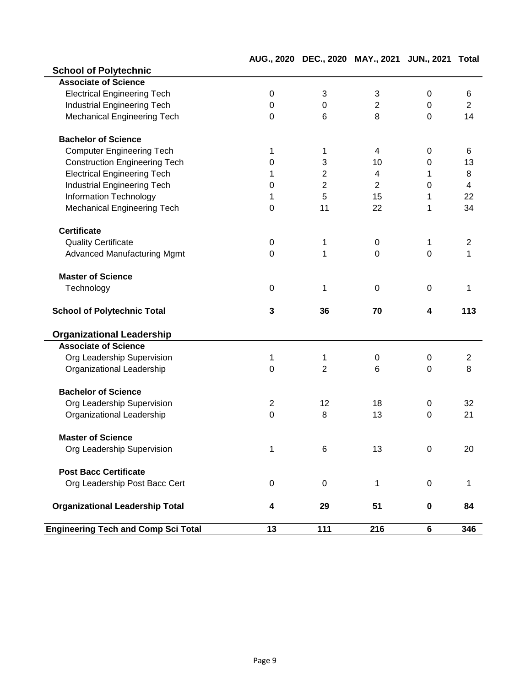|                                            |                | DLV., ZUZU     | 111  2021      |                  |                |
|--------------------------------------------|----------------|----------------|----------------|------------------|----------------|
| <b>School of Polytechnic</b>               |                |                |                |                  |                |
| <b>Associate of Science</b>                |                |                |                |                  |                |
| <b>Electrical Engineering Tech</b>         | 0              | 3              | 3              | 0                | 6              |
| Industrial Engineering Tech                | 0              | $\mathbf 0$    | $\overline{2}$ | $\mathbf 0$      | $\overline{2}$ |
| <b>Mechanical Engineering Tech</b>         | 0              | 6              | 8              | $\mathbf 0$      | 14             |
| <b>Bachelor of Science</b>                 |                |                |                |                  |                |
| <b>Computer Engineering Tech</b>           | 1              | 1              | 4              | 0                | 6              |
| <b>Construction Engineering Tech</b>       | $\mathbf 0$    | 3              | 10             | 0                | 13             |
| <b>Electrical Engineering Tech</b>         | 1              | $\overline{2}$ | 4              | 1                | 8              |
| <b>Industrial Engineering Tech</b>         | 0              | $\overline{2}$ | 2              | $\mathbf 0$      | 4              |
| <b>Information Technology</b>              | 1              | 5              | 15             | 1                | 22             |
| Mechanical Engineering Tech                | 0              | 11             | 22             | 1                | 34             |
| <b>Certificate</b>                         |                |                |                |                  |                |
| <b>Quality Certificate</b>                 | $\mathbf 0$    | 1              | $\mathbf 0$    | 1                | $\overline{2}$ |
| <b>Advanced Manufacturing Mgmt</b>         | $\Omega$       | $\mathbf 1$    | $\mathbf 0$    | $\overline{0}$   | 1              |
| <b>Master of Science</b>                   |                |                |                |                  |                |
| Technology                                 | $\pmb{0}$      | 1              | $\pmb{0}$      | $\mathbf 0$      | 1              |
| <b>School of Polytechnic Total</b>         | 3              | 36             | 70             | 4                | 113            |
| <b>Organizational Leadership</b>           |                |                |                |                  |                |
| <b>Associate of Science</b>                |                |                |                |                  |                |
| Org Leadership Supervision                 | 1              | 1              | 0              | 0                | $\overline{c}$ |
| Organizational Leadership                  | $\mathbf 0$    | $\overline{2}$ | 6              | $\mathbf 0$      | 8              |
| <b>Bachelor of Science</b>                 |                |                |                |                  |                |
| Org Leadership Supervision                 | $\overline{2}$ | 12             | 18             | $\mathbf 0$      | 32             |
| Organizational Leadership                  | $\mathbf 0$    | 8              | 13             | $\overline{0}$   | 21             |
| <b>Master of Science</b>                   |                |                |                |                  |                |
| Org Leadership Supervision                 | 1              | 6              | 13             | $\boldsymbol{0}$ | 20             |
| <b>Post Bacc Certificate</b>               |                |                |                |                  |                |
| Org Leadership Post Bacc Cert              | 0              | $\mathbf 0$    | 1              | $\mathbf 0$      | 1              |
| <b>Organizational Leadership Total</b>     | 4              | 29             | 51             | $\mathbf 0$      | 84             |
| <b>Engineering Tech and Comp Sci Total</b> | 13             | 111            | 216            | 6                | 346            |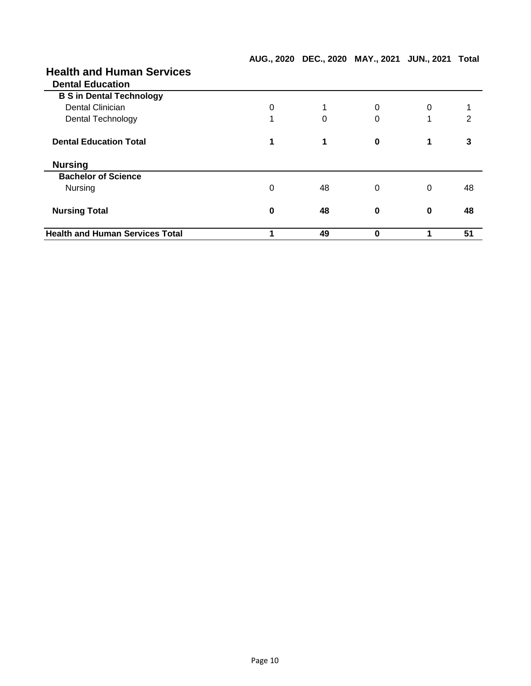| <b>Health and Human Services</b>       |   |    |          |   |    |
|----------------------------------------|---|----|----------|---|----|
| <b>Dental Education</b>                |   |    |          |   |    |
| <b>B S in Dental Technology</b>        |   |    |          |   |    |
| Dental Clinician                       | 0 |    | 0        | 0 |    |
| <b>Dental Technology</b>               | 1 | 0  | 0        | 1 | 2  |
| <b>Dental Education Total</b>          | 1 | 1  | $\bf{0}$ | 1 | 3  |
| <b>Nursing</b>                         |   |    |          |   |    |
| <b>Bachelor of Science</b>             |   |    |          |   |    |
| Nursing                                | 0 | 48 | 0        | 0 | 48 |
| <b>Nursing Total</b>                   | 0 | 48 | 0        | 0 | 48 |
| <b>Health and Human Services Total</b> |   | 49 | 0        |   | 51 |

**AUG., 2020 DEC., 2020 MAY., 2021 JUN., 2021 Total**

# **Health and Human Services**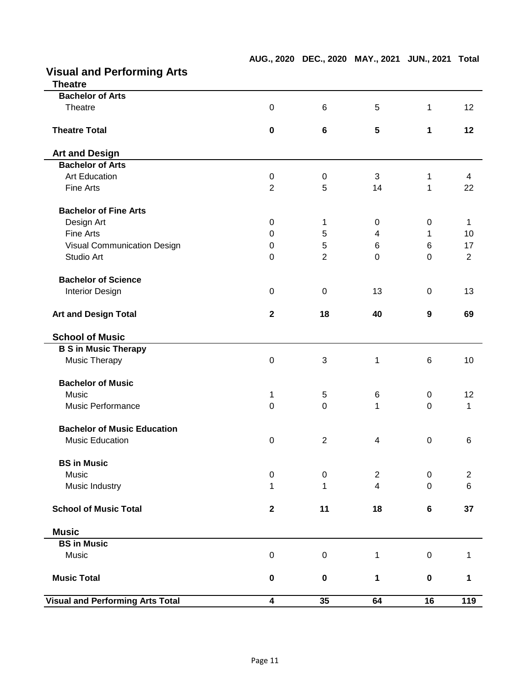| <b>Visual and Performing Arts</b><br><b>Theatre</b> |                         |                 |                 |                  |                |
|-----------------------------------------------------|-------------------------|-----------------|-----------------|------------------|----------------|
| <b>Bachelor of Arts</b>                             |                         |                 |                 |                  |                |
| Theatre                                             | $\mathbf 0$             | $6\phantom{1}6$ | 5               | 1                | 12             |
| <b>Theatre Total</b>                                | $\pmb{0}$               | $6\phantom{1}$  | $5\phantom{.0}$ | 1                | 12             |
| <b>Art and Design</b>                               |                         |                 |                 |                  |                |
| <b>Bachelor of Arts</b>                             |                         |                 |                 |                  |                |
| <b>Art Education</b>                                | $\mathbf 0$             | $\pmb{0}$       | 3               | 1                | 4              |
| Fine Arts                                           | $\overline{2}$          | 5               | 14              | 1                | 22             |
| <b>Bachelor of Fine Arts</b>                        |                         |                 |                 |                  |                |
| Design Art                                          | 0                       | 1               | 0               | $\mathbf 0$      | 1              |
| Fine Arts                                           | 0                       | 5               | 4               | 1                | 10             |
| Visual Communication Design                         | 0                       | 5               | 6               | $\,6$            | 17             |
| Studio Art                                          | $\Omega$                | $\overline{2}$  | $\mathbf 0$     | $\overline{0}$   | $\overline{2}$ |
| <b>Bachelor of Science</b>                          |                         |                 |                 |                  |                |
| <b>Interior Design</b>                              | $\pmb{0}$               | 0               | 13              | $\mathbf 0$      | 13             |
| <b>Art and Design Total</b>                         | $\mathbf 2$             | 18              | 40              | 9                | 69             |
| <b>School of Music</b>                              |                         |                 |                 |                  |                |
| <b>B S in Music Therapy</b>                         |                         |                 |                 |                  |                |
| Music Therapy                                       | $\mathbf 0$             | 3               | 1               | 6                | 10             |
| <b>Bachelor of Music</b>                            |                         |                 |                 |                  |                |
| Music                                               | 1                       | 5               | 6               | 0                | 12             |
| <b>Music Performance</b>                            | $\pmb{0}$               | 0               | 1               | $\mathbf 0$      | 1              |
| <b>Bachelor of Music Education</b>                  |                         |                 |                 |                  |                |
| <b>Music Education</b>                              | $\pmb{0}$               | 2               | 4               | $\mathbf 0$      | 6              |
| <b>BS in Music</b>                                  |                         |                 |                 |                  |                |
| Music                                               | $\mathbf 0$             | $\mathbf 0$     | $\overline{2}$  | $\boldsymbol{0}$ | $\overline{c}$ |
| Music Industry                                      | 1                       | 1               | $\overline{4}$  | $\mathbf 0$      | $\,6\,$        |
| <b>School of Music Total</b>                        | $\boldsymbol{2}$        | 11              | 18              | $\bf 6$          | 37             |
| <b>Music</b>                                        |                         |                 |                 |                  |                |
| <b>BS in Music</b>                                  |                         |                 |                 |                  |                |
| Music                                               | $\pmb{0}$               | 0               | 1               | $\pmb{0}$        | 1              |
| <b>Music Total</b>                                  | $\pmb{0}$               | $\mathbf 0$     | 1               | $\pmb{0}$        | 1              |
| <b>Visual and Performing Arts Total</b>             | $\overline{\mathbf{4}}$ | 35              | 64              | 16               | 119            |

#### **AUG., 2020 DEC., 2020 MAY., 2021 JUN., 2021 Total**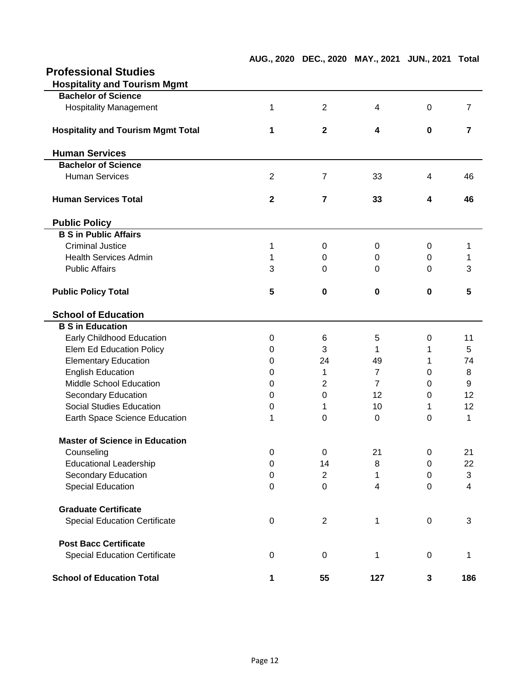| <b>Professional Studies</b>               |                |                  |                |             |                |
|-------------------------------------------|----------------|------------------|----------------|-------------|----------------|
| <b>Hospitality and Tourism Mgmt</b>       |                |                  |                |             |                |
| <b>Bachelor of Science</b>                |                |                  |                |             |                |
| <b>Hospitality Management</b>             | 1              | $\overline{2}$   | 4              | $\mathbf 0$ | $\overline{7}$ |
| <b>Hospitality and Tourism Mgmt Total</b> | 1              | $\mathbf{2}$     | 4              | $\bf{0}$    | $\overline{7}$ |
| <b>Human Services</b>                     |                |                  |                |             |                |
| <b>Bachelor of Science</b>                |                |                  |                |             |                |
| <b>Human Services</b>                     | $\overline{2}$ | $\overline{7}$   | 33             | 4           | 46             |
| <b>Human Services Total</b>               | $\mathbf{2}$   | $\overline{7}$   | 33             | 4           | 46             |
| <b>Public Policy</b>                      |                |                  |                |             |                |
| <b>B S in Public Affairs</b>              |                |                  |                |             |                |
| <b>Criminal Justice</b>                   | 1              | 0                | 0              | 0           | 1              |
| <b>Health Services Admin</b>              | 1              | 0                | 0              | 0           | 1              |
| <b>Public Affairs</b>                     | 3              | 0                | 0              | 0           | 3              |
| <b>Public Policy Total</b>                | 5              | 0                | 0              | $\bf{0}$    | 5              |
| <b>School of Education</b>                |                |                  |                |             |                |
| <b>B S in Education</b>                   |                |                  |                |             |                |
| Early Childhood Education                 | 0              | 6                | 5              | 0           | 11             |
| Elem Ed Education Policy                  | 0              | 3                | 1              | 1           | 5              |
| <b>Elementary Education</b>               | 0              | 24               | 49             | 1           | 74             |
| <b>English Education</b>                  | 0              | 1                | $\overline{7}$ | 0           | 8              |
| Middle School Education                   | 0              | $\overline{2}$   | $\overline{7}$ | $\Omega$    | 9              |
| Secondary Education                       | 0              | $\Omega$         | 12             | 0           | 12             |
| <b>Social Studies Education</b>           | 0              | 1                | 10             | 1           | 12             |
| Earth Space Science Education             | 1              | 0                | $\Omega$       | $\Omega$    | 1              |
| <b>Master of Science in Education</b>     |                |                  |                |             |                |
| Counseling                                | 0              | 0                | 21             | 0           | 21             |
| <b>Educational Leadership</b>             | 0              | 14               | 8              | 0           | 22             |
| Secondary Education                       | 0              | $\boldsymbol{2}$ | 1              | $\pmb{0}$   | 3              |
| <b>Special Education</b>                  | 0              | $\mathbf 0$      | 4              | 0           | 4              |
| <b>Graduate Certificate</b>               |                |                  |                |             |                |
| <b>Special Education Certificate</b>      | $\pmb{0}$      | $\overline{c}$   | 1              | $\mathbf 0$ | 3              |
| <b>Post Bacc Certificate</b>              |                |                  |                |             |                |
| <b>Special Education Certificate</b>      | $\pmb{0}$      | $\,0\,$          | 1              | $\mathsf 0$ | 1              |
| <b>School of Education Total</b>          | 1              | 55               | 127            | 3           | 186            |